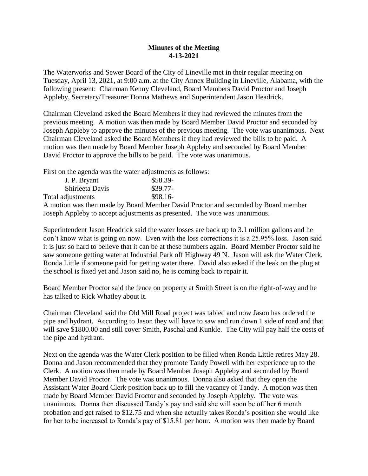## **Minutes of the Meeting 4-13-2021**

The Waterworks and Sewer Board of the City of Lineville met in their regular meeting on Tuesday, April 13, 2021, at 9:00 a.m. at the City Annex Building in Lineville, Alabama, with the following present: Chairman Kenny Cleveland, Board Members David Proctor and Joseph Appleby, Secretary/Treasurer Donna Mathews and Superintendent Jason Headrick.

Chairman Cleveland asked the Board Members if they had reviewed the minutes from the previous meeting. A motion was then made by Board Member David Proctor and seconded by Joseph Appleby to approve the minutes of the previous meeting. The vote was unanimous. Next Chairman Cleveland asked the Board Members if they had reviewed the bills to be paid. A motion was then made by Board Member Joseph Appleby and seconded by Board Member David Proctor to approve the bills to be paid. The vote was unanimous.

First on the agenda was the water adjustments as follows:

| J. P. Bryant      | \$58.39-  |
|-------------------|-----------|
| Shirleeta Davis   | $$39.77-$ |
| Total adjustments | $$98.16-$ |

A motion was then made by Board Member David Proctor and seconded by Board member Joseph Appleby to accept adjustments as presented. The vote was unanimous.

Superintendent Jason Headrick said the water losses are back up to 3.1 million gallons and he don't know what is going on now. Even with the loss corrections it is a 25.95% loss. Jason said it is just so hard to believe that it can be at these numbers again. Board Member Proctor said he saw someone getting water at Industrial Park off Highway 49 N. Jason will ask the Water Clerk, Ronda Little if someone paid for getting water there. David also asked if the leak on the plug at the school is fixed yet and Jason said no, he is coming back to repair it.

Board Member Proctor said the fence on property at Smith Street is on the right-of-way and he has talked to Rick Whatley about it.

Chairman Cleveland said the Old Mill Road project was tabled and now Jason has ordered the pipe and hydrant. According to Jason they will have to saw and run down 1 side of road and that will save \$1800.00 and still cover Smith, Paschal and Kunkle. The City will pay half the costs of the pipe and hydrant.

Next on the agenda was the Water Clerk position to be filled when Ronda Little retires May 28. Donna and Jason recommended that they promote Tandy Powell with her experience up to the Clerk. A motion was then made by Board Member Joseph Appleby and seconded by Board Member David Proctor. The vote was unanimous. Donna also asked that they open the Assistant Water Board Clerk position back up to fill the vacancy of Tandy. A motion was then made by Board Member David Proctor and seconded by Joseph Appleby. The vote was unanimous. Donna then discussed Tandy's pay and said she will soon be off her 6 month probation and get raised to \$12.75 and when she actually takes Ronda's position she would like for her to be increased to Ronda's pay of \$15.81 per hour. A motion was then made by Board